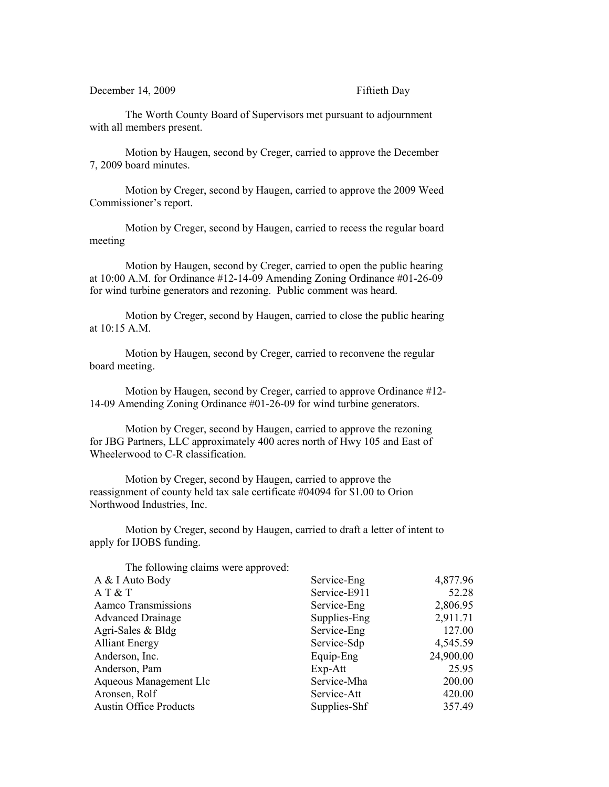December 14, 2009 Fiftieth Day

The Worth County Board of Supervisors met pursuant to adjournment with all members present.

Motion by Haugen, second by Creger, carried to approve the December 7, 2009 board minutes.

Motion by Creger, second by Haugen, carried to approve the 2009 Weed Commissioner's report.

Motion by Creger, second by Haugen, carried to recess the regular board meeting

Motion by Haugen, second by Creger, carried to open the public hearing at 10:00 A.M. for Ordinance #12-14-09 Amending Zoning Ordinance #01-26-09 for wind turbine generators and rezoning. Public comment was heard.

Motion by Creger, second by Haugen, carried to close the public hearing at 10:15 A.M.

Motion by Haugen, second by Creger, carried to reconvene the regular board meeting.

Motion by Haugen, second by Creger, carried to approve Ordinance #12- 14-09 Amending Zoning Ordinance #01-26-09 for wind turbine generators.

Motion by Creger, second by Haugen, carried to approve the rezoning for JBG Partners, LLC approximately 400 acres north of Hwy 105 and East of Wheelerwood to C-R classification.

Motion by Creger, second by Haugen, carried to approve the reassignment of county held tax sale certificate #04094 for \$1.00 to Orion Northwood Industries, Inc.

Motion by Creger, second by Haugen, carried to draft a letter of intent to apply for IJOBS funding.

| The following claims were approved: |              |           |
|-------------------------------------|--------------|-----------|
| A & I Auto Body                     | Service-Eng  | 4,877.96  |
| AT & T                              | Service-E911 | 52.28     |
| Aamco Transmissions                 | Service-Eng  | 2,806.95  |
| <b>Advanced Drainage</b>            | Supplies-Eng | 2,911.71  |
| Agri-Sales & Bldg                   | Service-Eng  | 127.00    |
| <b>Alliant Energy</b>               | Service-Sdp  | 4,545.59  |
| Anderson, Inc.                      | Equip-Eng    | 24,900.00 |
| Anderson, Pam                       | $Exp-Att$    | 25.95     |
| Aqueous Management Llc              | Service-Mha  | 200.00    |
| Aronsen, Rolf                       | Service-Att  | 420.00    |
| <b>Austin Office Products</b>       | Supplies-Shf | 357.49    |
|                                     |              |           |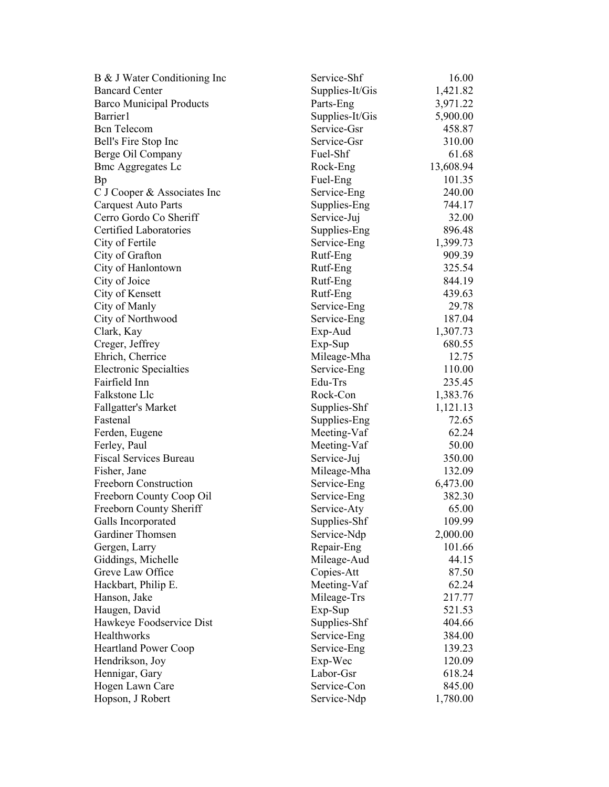| B & J Water Conditioning Inc                   | Service-Shf     | 16.00     |
|------------------------------------------------|-----------------|-----------|
| <b>Bancard Center</b>                          | Supplies-It/Gis | 1,421.82  |
| <b>Barco Municipal Products</b>                | Parts-Eng       | 3,971.22  |
| Barrier1                                       | Supplies-It/Gis | 5,900.00  |
| <b>Bcn</b> Telecom                             | Service-Gsr     | 458.87    |
| Bell's Fire Stop Inc                           | Service-Gsr     | 310.00    |
| Berge Oil Company                              | Fuel-Shf        | 61.68     |
| <b>Bmc Aggregates Lc</b>                       | Rock-Eng        | 13,608.94 |
| Bp                                             | Fuel-Eng        | 101.35    |
| C J Cooper & Associates Inc                    | Service-Eng     | 240.00    |
| <b>Carquest Auto Parts</b>                     | Supplies-Eng    | 744.17    |
| Cerro Gordo Co Sheriff                         | Service-Juj     | 32.00     |
| Certified Laboratories                         | Supplies-Eng    | 896.48    |
| City of Fertile                                | Service-Eng     | 1,399.73  |
| City of Grafton                                | Rutf-Eng        | 909.39    |
| City of Hanlontown                             | Rutf-Eng        | 325.54    |
| City of Joice                                  | Rutf-Eng        | 844.19    |
| City of Kensett                                | Rutf-Eng        | 439.63    |
| City of Manly                                  | Service-Eng     | 29.78     |
| City of Northwood                              | Service-Eng     | 187.04    |
| Clark, Kay                                     | Exp-Aud         | 1,307.73  |
| Creger, Jeffrey                                | Exp-Sup         | 680.55    |
| Ehrich, Cherrice                               |                 | 12.75     |
|                                                | Mileage-Mha     |           |
| <b>Electronic Specialties</b><br>Fairfield Inn | Service-Eng     | 110.00    |
|                                                | Edu-Trs         | 235.45    |
| Falkstone Llc                                  | Rock-Con        | 1,383.76  |
| <b>Fallgatter's Market</b>                     | Supplies-Shf    | 1,121.13  |
| Fastenal                                       | Supplies-Eng    | 72.65     |
| Ferden, Eugene                                 | Meeting-Vaf     | 62.24     |
| Ferley, Paul                                   | Meeting-Vaf     | 50.00     |
| <b>Fiscal Services Bureau</b>                  | Service-Juj     | 350.00    |
| Fisher, Jane                                   | Mileage-Mha     | 132.09    |
| Freeborn Construction                          | Service-Eng     | 6,473.00  |
| Freeborn County Coop Oil                       | Service-Eng     | 382.30    |
| Freeborn County Sheriff                        | Service-Aty     | 65.00     |
| Galls Incorporated                             | Supplies-Shf    | 109.99    |
| Gardiner Thomsen                               | Service-Ndp     | 2,000.00  |
| Gergen, Larry                                  | Repair-Eng      | 101.66    |
| Giddings, Michelle                             | Mileage-Aud     | 44.15     |
| Greve Law Office                               | Copies-Att      | 87.50     |
| Hackbart, Philip E.                            | Meeting-Vaf     | 62.24     |
| Hanson, Jake                                   | Mileage-Trs     | 217.77    |
| Haugen, David                                  | Exp-Sup         | 521.53    |
| Hawkeye Foodservice Dist                       | Supplies-Shf    | 404.66    |
| Healthworks                                    | Service-Eng     | 384.00    |
| <b>Heartland Power Coop</b>                    | Service-Eng     | 139.23    |
| Hendrikson, Joy                                | Exp-Wec         | 120.09    |
| Hennigar, Gary                                 | Labor-Gsr       | 618.24    |
| Hogen Lawn Care                                | Service-Con     | 845.00    |
| Hopson, J Robert                               | Service-Ndp     | 1,780.00  |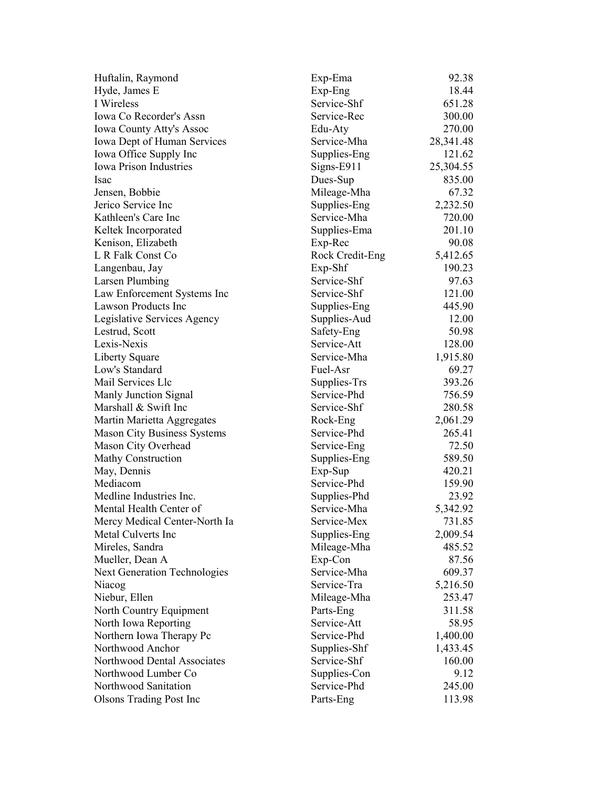| Huftalin, Raymond                   | Exp-Ema         | 92.38     |
|-------------------------------------|-----------------|-----------|
| Hyde, James E                       | Exp-Eng         | 18.44     |
| I Wireless                          | Service-Shf     | 651.28    |
| Iowa Co Recorder's Assn             | Service-Rec     | 300.00    |
| <b>Iowa County Atty's Assoc</b>     | Edu-Aty         | 270.00    |
| Iowa Dept of Human Services         | Service-Mha     | 28,341.48 |
| Iowa Office Supply Inc              | Supplies-Eng    | 121.62    |
| <b>Iowa Prison Industries</b>       | Signs-E911      | 25,304.55 |
| Isac                                | Dues-Sup        | 835.00    |
| Jensen, Bobbie                      | Mileage-Mha     | 67.32     |
| Jerico Service Inc                  | Supplies-Eng    | 2,232.50  |
| Kathleen's Care Inc                 | Service-Mha     | 720.00    |
| Keltek Incorporated                 | Supplies-Ema    | 201.10    |
| Kenison, Elizabeth                  | Exp-Rec         | 90.08     |
| L R Falk Const Co                   | Rock Credit-Eng | 5,412.65  |
| Langenbau, Jay                      | Exp-Shf         | 190.23    |
| Larsen Plumbing                     | Service-Shf     | 97.63     |
| Law Enforcement Systems Inc         | Service-Shf     | 121.00    |
| Lawson Products Inc                 | Supplies-Eng    | 445.90    |
| Legislative Services Agency         | Supplies-Aud    | 12.00     |
| Lestrud, Scott                      | Safety-Eng      | 50.98     |
| Lexis-Nexis                         | Service-Att     | 128.00    |
| Liberty Square                      | Service-Mha     | 1,915.80  |
| Low's Standard                      | Fuel-Asr        | 69.27     |
| Mail Services Llc                   | Supplies-Trs    | 393.26    |
| Manly Junction Signal               | Service-Phd     | 756.59    |
| Marshall & Swift Inc                | Service-Shf     | 280.58    |
|                                     |                 |           |
| Martin Marietta Aggregates          | Rock-Eng        | 2,061.29  |
| <b>Mason City Business Systems</b>  | Service-Phd     | 265.41    |
| Mason City Overhead                 | Service-Eng     | 72.50     |
| <b>Mathy Construction</b>           | Supplies-Eng    | 589.50    |
| May, Dennis                         | $Exp-Sup$       | 420.21    |
| Mediacom                            | Service-Phd     | 159.90    |
| Medline Industries Inc.             | Supplies-Phd    | 23.92     |
| Mental Health Center of             | Service-Mha     | 5,342.92  |
| Mercy Medical Center-North Ia       | Service-Mex     | 731.85    |
| Metal Culverts Inc                  | Supplies-Eng    | 2,009.54  |
| Mireles, Sandra                     | Mileage-Mha     | 485.52    |
| Mueller, Dean A                     | Exp-Con         | 87.56     |
| <b>Next Generation Technologies</b> | Service-Mha     | 609.37    |
| Niacog                              | Service-Tra     | 5,216.50  |
| Niebur, Ellen                       | Mileage-Mha     | 253.47    |
| North Country Equipment             | Parts-Eng       | 311.58    |
| North Iowa Reporting                | Service-Att     | 58.95     |
| Northern Iowa Therapy Pc            | Service-Phd     | 1,400.00  |
| Northwood Anchor                    | Supplies-Shf    | 1,433.45  |
| Northwood Dental Associates         | Service-Shf     | 160.00    |
| Northwood Lumber Co                 | Supplies-Con    | 9.12      |
| Northwood Sanitation                | Service-Phd     | 245.00    |
| <b>Olsons Trading Post Inc</b>      | Parts-Eng       | 113.98    |